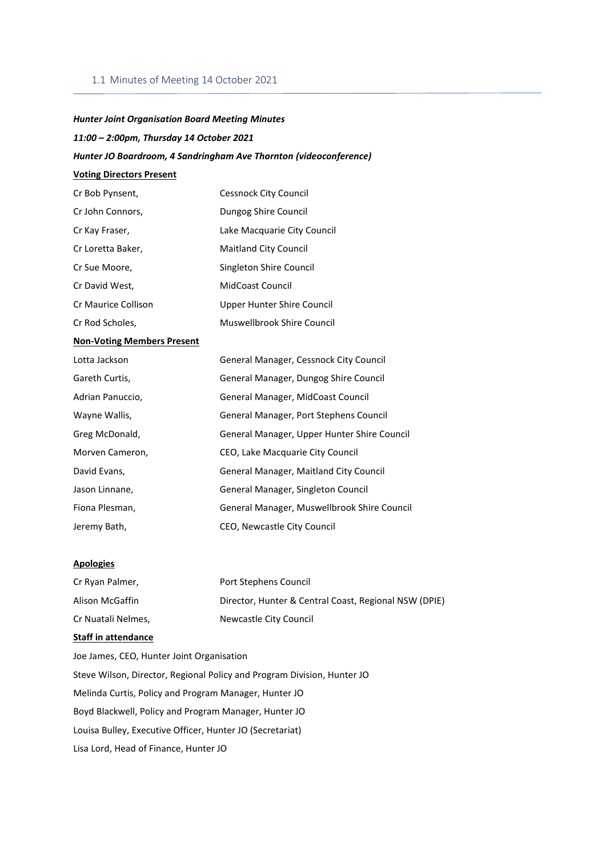### 1.1 Minutes of Meeting 14 October 2021

# *Hunter Joint Organisation Board Meeting Minutes*

# *11:00 – 2:00pm, Thursday 14 October 2021*

## *Hunter JO Boardroom, 4 Sandringham Ave Thornton (videoconference)*

# **Voting Directors Present**

| Cr Bob Pynsent,     | <b>Cessnock City Council</b> |
|---------------------|------------------------------|
| Cr John Connors,    | Dungog Shire Council         |
| Cr Kay Fraser,      | Lake Macquarie City Council  |
| Cr Loretta Baker,   | <b>Maitland City Council</b> |
| Cr Sue Moore,       | Singleton Shire Council      |
| Cr David West,      | <b>MidCoast Council</b>      |
| Cr Maurice Collison | Upper Hunter Shire Council   |
| Cr Rod Scholes,     | Muswellbrook Shire Council   |

### **Non-Voting Members Present**

| Lotta Jackson    | General Manager, Cessnock City Council        |
|------------------|-----------------------------------------------|
| Gareth Curtis,   | General Manager, Dungog Shire Council         |
| Adrian Panuccio, | General Manager, MidCoast Council             |
| Wayne Wallis,    | General Manager, Port Stephens Council        |
| Greg McDonald,   | General Manager, Upper Hunter Shire Council   |
| Morven Cameron,  | CEO, Lake Macquarie City Council              |
| David Evans,     | <b>General Manager, Maitland City Council</b> |
| Jason Linnane,   | General Manager, Singleton Council            |
| Fiona Plesman,   | General Manager, Muswellbrook Shire Council   |
| Jeremy Bath,     | CEO, Newcastle City Council                   |

# **Apologies**

| Cr Ryan Palmer,    | Port Stephens Council                                 |
|--------------------|-------------------------------------------------------|
| Alison McGaffin    | Director, Hunter & Central Coast, Regional NSW (DPIE) |
| Cr Nuatali Nelmes, | Newcastle City Council                                |

### **Staff in attendance**

Joe James, CEO, Hunter Joint Organisation Steve Wilson, Director, Regional Policy and Program Division, Hunter JO Melinda Curtis, Policy and Program Manager, Hunter JO Boyd Blackwell, Policy and Program Manager, Hunter JO Louisa Bulley, Executive Officer, Hunter JO (Secretariat) Lisa Lord, Head of Finance, Hunter JO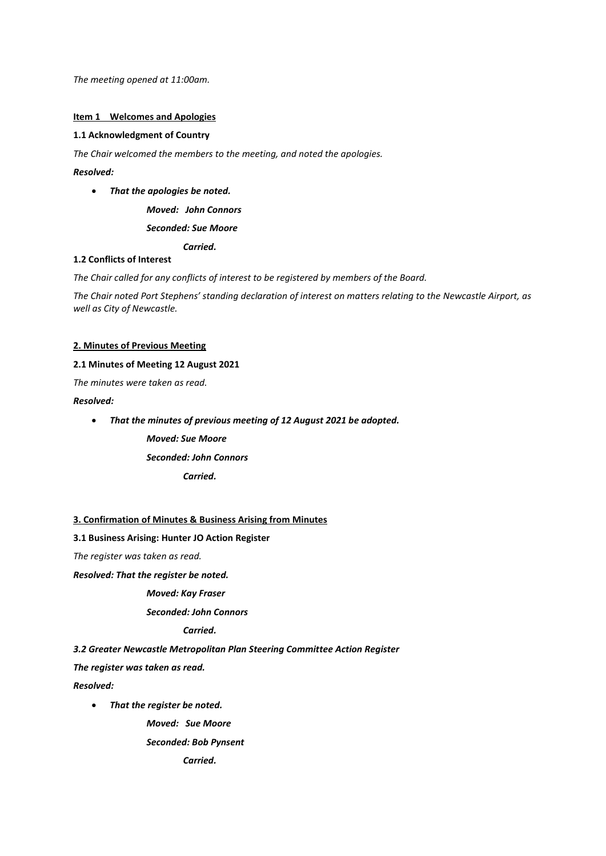*The meeting opened at 11:00am.*

#### **Item 1 Welcomes and Apologies**

### **1.1 Acknowledgment of Country**

*The Chair welcomed the members to the meeting, and noted the apologies.* 

# *Resolved:*

• *That the apologies be noted.*

*Moved: John Connors*

*Seconded: Sue Moore*

*Carried.*

### **1.2 Conflicts of Interest**

*The Chair called for any conflicts of interest to be registered by members of the Board.* 

*The Chair noted Port Stephens' standing declaration of interest on matters relating to the Newcastle Airport, as well as City of Newcastle.* 

#### **2. Minutes of Previous Meeting**

## **2.1 Minutes of Meeting 12 August 2021**

*The minutes were taken as read.* 

#### *Resolved:*

- *That the minutes of previous meeting of 12 August 2021 be adopted.*
	- *Moved: Sue Moore*

*Seconded: John Connors*

*Carried.*

## **3. Confirmation of Minutes & Business Arising from Minutes**

#### **3.1 Business Arising: Hunter JO Action Register**

*The register was taken as read.* 

*Resolved: That the register be noted.*

# *Moved: Kay Fraser*

## *Seconded: John Connors*

#### *Carried.*

*3.2 Greater Newcastle Metropolitan Plan Steering Committee Action Register*

*The register was taken as read.*

*Resolved:*

• *That the register be noted.*

*Moved: Sue Moore*

*Seconded: Bob Pynsent*

*Carried.*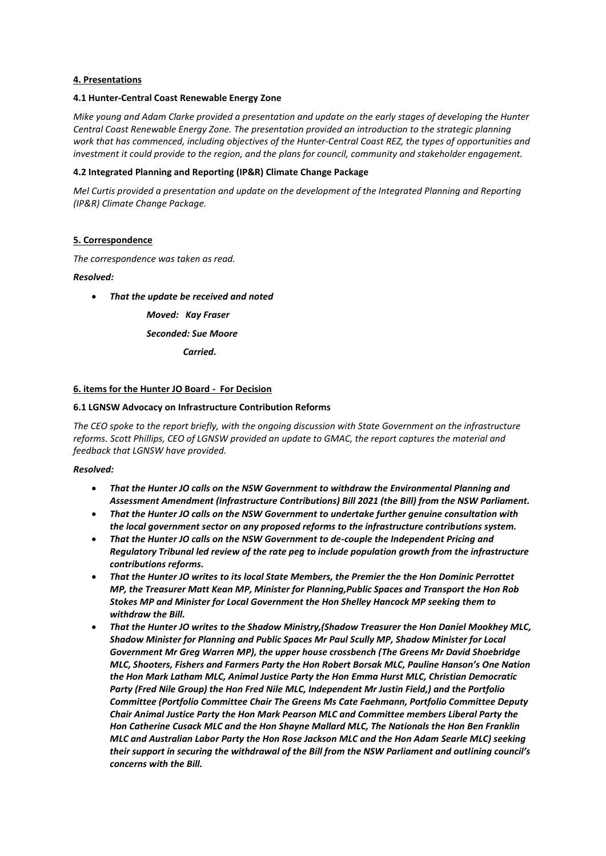## **4. Presentations**

## **4.1 Hunter-Central Coast Renewable Energy Zone**

*Mike young and Adam Clarke provided a presentation and update on the early stages of developing the Hunter Central Coast Renewable Energy Zone. The presentation provided an introduction to the strategic planning work that has commenced, including objectives of the Hunter-Central Coast REZ, the types of opportunities and investment it could provide to the region, and the plans for council, community and stakeholder engagement.* 

### **4.2 Integrated Planning and Reporting (IP&R) Climate Change Package**

*Mel Curtis provided a presentation and update on the development of the Integrated Planning and Reporting (IP&R) Climate Change Package.* 

#### **5. Correspondence**

*The correspondence was taken as read.* 

#### *Resolved:*

• *That the update be received and noted*

*Moved: Kay Fraser Seconded: Sue Moore*

*Carried.*

#### **6. items for the Hunter JO Board - For Decision**

#### **6.1 LGNSW Advocacy on Infrastructure Contribution Reforms**

*The CEO spoke to the report briefly, with the ongoing discussion with State Government on the infrastructure reforms. Scott Phillips, CEO of LGNSW provided an update to GMAC, the report captures the material and feedback that LGNSW have provided.* 

#### *Resolved:*

- *That the Hunter JO calls on the NSW Government to withdraw the Environmental Planning and Assessment Amendment (Infrastructure Contributions) Bill 2021 (the Bill) from the NSW Parliament.*
- *That the Hunter JO calls on the NSW Government to undertake further genuine consultation with the local government sector on any proposed reforms to the infrastructure contributions system.*
- *That the Hunter JO calls on the NSW Government to de-couple the Independent Pricing and Regulatory Tribunal led review of the rate peg to include population growth from the infrastructure contributions reforms.*
- *That the Hunter JO writes to its local State Members, the Premier the the Hon Dominic Perrottet MP, the Treasurer Matt Kean MP, Minister for Planning,Public Spaces and Transport the Hon Rob Stokes MP and Minister for Local Government the Hon Shelley Hancock MP seeking them to withdraw the Bill.*
- *That the Hunter JO writes to the Shadow Ministry,(Shadow Treasurer the Hon Daniel Mookhey MLC, Shadow Minister for Planning and Public Spaces Mr Paul Scully MP, Shadow Minister for Local Government Mr Greg Warren MP), the upper house crossbench (The Greens Mr David Shoebridge MLC, Shooters, Fishers and Farmers Party the Hon Robert Borsak MLC, Pauline Hanson's One Nation the Hon Mark Latham MLC, Animal Justice Party the Hon Emma Hurst MLC, Christian Democratic Party (Fred Nile Group) the Hon Fred Nile MLC, Independent Mr Justin Field,) and the Portfolio Committee (Portfolio Committee Chair The Greens Ms Cate Faehmann, Portfolio Committee Deputy Chair Animal Justice Party the Hon Mark Pearson MLC and Committee members Liberal Party the Hon Catherine Cusack MLC and the Hon Shayne Mallard MLC, The Nationals the Hon Ben Franklin MLC and Australian Labor Party the Hon Rose Jackson MLC and the Hon Adam Searle MLC) seeking their support in securing the withdrawal of the Bill from the NSW Parliament and outlining council's concerns with the Bill.*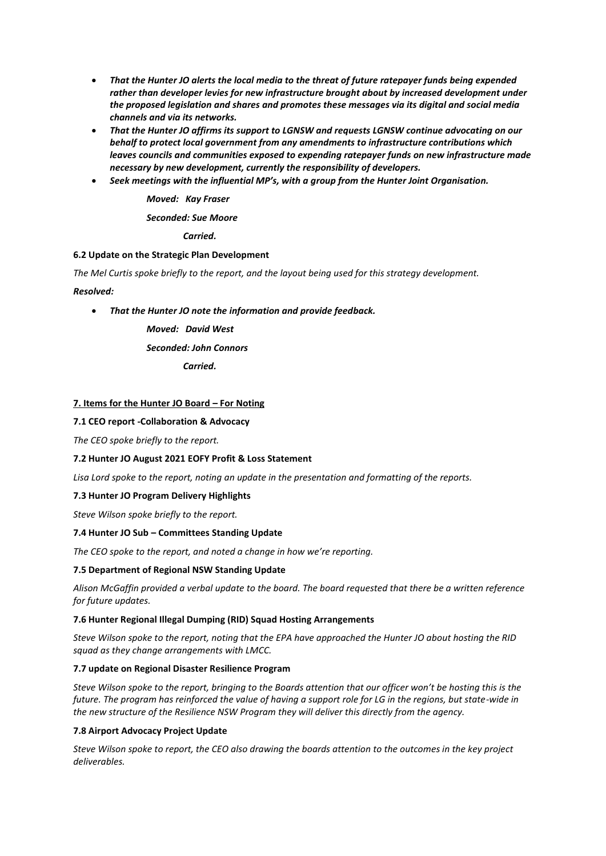- *That the Hunter JO alerts the local media to the threat of future ratepayer funds being expended rather than developer levies for new infrastructure brought about by increased development under the proposed legislation and shares and promotes these messages via its digital and social media channels and via its networks.*
- *That the Hunter JO affirms its support to LGNSW and requests LGNSW continue advocating on our behalf to protect local government from any amendments to infrastructure contributions which leaves councils and communities exposed to expending ratepayer funds on new infrastructure made necessary by new development, currently the responsibility of developers.*
- *Seek meetings with the influential MP's, with a group from the Hunter Joint Organisation.*

*Moved: Kay Fraser*

*Seconded: Sue Moore*

*Carried.*

# **6.2 Update on the Strategic Plan Development**

*The Mel Curtis spoke briefly to the report, and the layout being used for this strategy development.*

*Resolved:*

• *That the Hunter JO note the information and provide feedback.*

*Moved: David West Seconded: John Connors Carried.*

# **7. Items for the Hunter JO Board – For Noting**

# **7.1 CEO report -Collaboration & Advocacy**

*The CEO spoke briefly to the report.* 

## **7.2 Hunter JO August 2021 EOFY Profit & Loss Statement**

*Lisa Lord spoke to the report, noting an update in the presentation and formatting of the reports.* 

## **7.3 Hunter JO Program Delivery Highlights**

*Steve Wilson spoke briefly to the report.* 

## **7.4 Hunter JO Sub – Committees Standing Update**

*The CEO spoke to the report, and noted a change in how we're reporting.*

## **7.5 Department of Regional NSW Standing Update**

*Alison McGaffin provided a verbal update to the board. The board requested that there be a written reference for future updates.* 

## **7.6 Hunter Regional Illegal Dumping (RID) Squad Hosting Arrangements**

*Steve Wilson spoke to the report, noting that the EPA have approached the Hunter JO about hosting the RID squad as they change arrangements with LMCC.* 

## **7.7 update on Regional Disaster Resilience Program**

*Steve Wilson spoke to the report, bringing to the Boards attention that our officer won't be hosting this is the future. The program has reinforced the value of having a support role for LG in the regions, but state-wide in the new structure of the Resilience NSW Program they will deliver this directly from the agency.*

## **7.8 Airport Advocacy Project Update**

*Steve Wilson spoke to report, the CEO also drawing the boards attention to the outcomes in the key project deliverables.*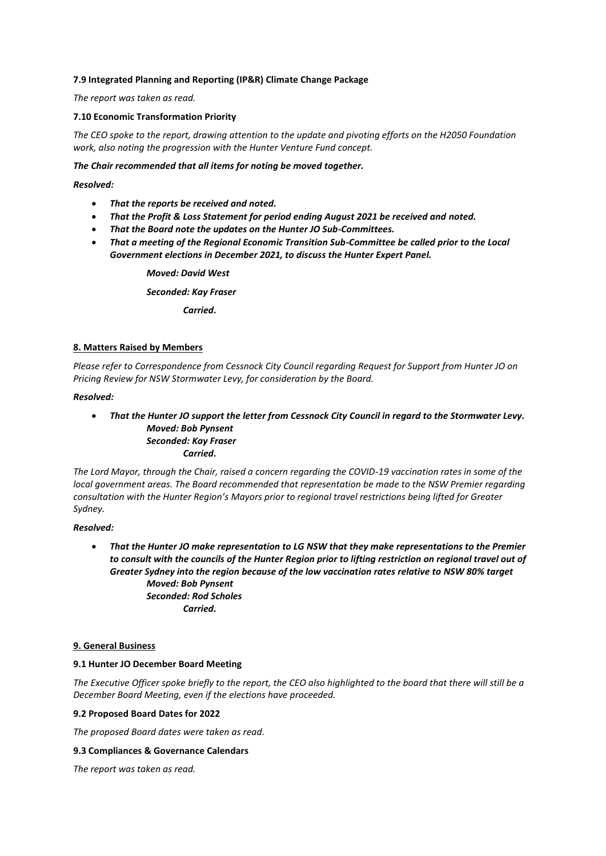# **7.9 Integrated Planning and Reporting (IP&R) Climate Change Package**

*The report was taken as read.* 

# **7.10 Economic Transformation Priority**

*The CEO spoke to the report, drawing attention to the update and pivoting efforts on the H2050 Foundation work, also noting the progression with the Hunter Venture Fund concept.*

## *The Chair recommended that all items for noting be moved together.*

### *Resolved:*

- *That the reports be received and noted.*
- *That the Profit & Loss Statement for period ending August 2021 be received and noted.*
- *That the Board note the updates on the Hunter JO Sub-Committees.*
- *That a meeting of the Regional Economic Transition Sub-Committee be called prior to the Local Government elections in December 2021, to discuss the Hunter Expert Panel.*

*Moved: David West*

*Seconded: Kay Fraser*

*Carried.*

## **8. Matters Raised by Members**

*Please refer to Correspondence from Cessnock City Council regarding Request for Support from Hunter JO on Pricing Review for NSW Stormwater Levy, for consideration by the Board.* 

## *Resolved:*

• *That the Hunter JO support the letter from Cessnock City Council in regard to the Stormwater Levy. Moved: Bob Pynsent Seconded: Kay Fraser Carried.*

*The Lord Mayor, through the Chair, raised a concern regarding the COVID-19 vaccination rates in some of the local government areas. The Board recommended that representation be made to the NSW Premier regarding consultation with the Hunter Region's Mayors prior to regional travel restrictions being lifted for Greater Sydney.*

## *Resolved:*

• *That the Hunter JO make representation to LG NSW that they make representations to the Premier to consult with the councils of the Hunter Region prior to lifting restriction on regional travel out of Greater Sydney into the region because of the low vaccination rates relative to NSW 80% target Moved: Bob Pynsent Seconded: Rod Scholes Carried.*

## **9. General Business**

## **9.1 Hunter JO December Board Meeting**

*The Executive Officer spoke briefly to the report, the CEO also highlighted to the board that there will still be a December Board Meeting, even if the elections have proceeded.* 

## **9.2 Proposed Board Dates for 2022**

*The proposed Board dates were taken as read.* 

## **9.3 Compliances & Governance Calendars**

*The report was taken as read.*